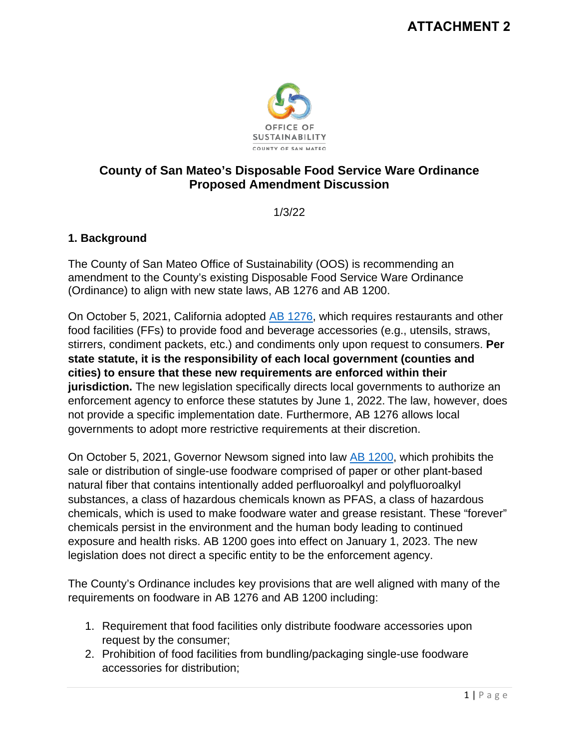

## **County of San Mateo's Disposable Food Service Ware Ordinance Proposed Amendment Discussion**

1/3/22

## **1. Background**

The County of San Mateo Office of Sustainability (OOS) is recommending an amendment to the County's existing Disposable Food Service Ware Ordinance (Ordinance) to align with new state laws, AB 1276 and AB 1200.

On October 5, 2021, California adopted AB [1276,](https://leginfo.legislature.ca.gov/faces/billTextClient.xhtml?bill_id=202120220AB1276) which requires restaurants and other food facilities (FFs) to provide food and beverage accessories (e.g., utensils, straws, stirrers, condiment packets, etc.) and condiments only upon request to consumers. **Per state statute, it is the responsibility of each local government (counties and cities) to ensure that these new requirements are enforced within their jurisdiction.** The new legislation specifically directs local governments to authorize an enforcement agency to enforce these statutes by June 1, 2022. The law, however, does not provide a specific implementation date. Furthermore, AB 1276 allows local governments to adopt more restrictive requirements at their discretion.

On October 5, 2021, Governor Newsom signed into law [AB 1200,](https://leginfo.legislature.ca.gov/faces/billTextClient.xhtml?bill_id=202120220AB1200) which prohibits the sale or distribution of single-use foodware comprised of paper or other plant-based natural fiber that contains intentionally added perfluoroalkyl and polyfluoroalkyl substances, a class of hazardous chemicals known as PFAS, a class of hazardous chemicals, which is used to make foodware water and grease resistant. These "forever" chemicals persist in the environment and the human body leading to continued exposure and health risks. AB 1200 goes into effect on January 1, 2023. The new legislation does not direct a specific entity to be the enforcement agency.

The County's Ordinance includes key provisions that are well aligned with many of the requirements on foodware in AB 1276 and AB 1200 including:

- 1. Requirement that food facilities only distribute foodware accessories upon request by the consumer;
- 2. Prohibition of food facilities from bundling/packaging single-use foodware accessories for distribution;